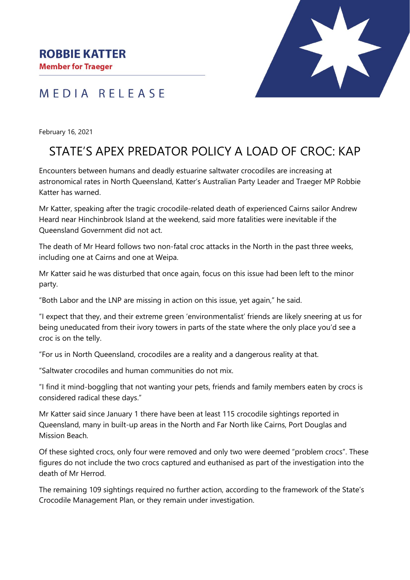**Member for Traeger** 



# MEDIA RELEASE

February 16, 2021

# STATE'S APEX PREDATOR POLICY A LOAD OF CROC: KAP

Encounters between humans and deadly estuarine saltwater crocodiles are increasing at astronomical rates in North Queensland, Katter's Australian Party Leader and Traeger MP Robbie Katter has warned.

Mr Katter, speaking after the tragic crocodile-related death of experienced Cairns sailor Andrew Heard near Hinchinbrook Island at the weekend, said more fatalities were inevitable if the Queensland Government did not act.

The death of Mr Heard follows two non-fatal croc attacks in the North in the past three weeks, including one at Cairns and one at Weipa.

Mr Katter said he was disturbed that once again, focus on this issue had been left to the minor party.

"Both Labor and the LNP are missing in action on this issue, yet again," he said.

"I expect that they, and their extreme green 'environmentalist' friends are likely sneering at us for being uneducated from their ivory towers in parts of the state where the only place you'd see a croc is on the telly.

"For us in North Queensland, crocodiles are a reality and a dangerous reality at that.

"Saltwater crocodiles and human communities do not mix.

"I find it mind-boggling that not wanting your pets, friends and family members eaten by crocs is considered radical these days."

Mr Katter said since January 1 there have been at least 115 crocodile sightings reported in Queensland, many in built-up areas in the North and Far North like Cairns, Port Douglas and Mission Beach.

Of these sighted crocs, only four were removed and only two were deemed "problem crocs". These figures do not include the two crocs captured and euthanised as part of the investigation into the death of Mr Herrod.

The remaining 109 sightings required no further action, according to the framework of the State's Crocodile Management Plan, or they remain under investigation.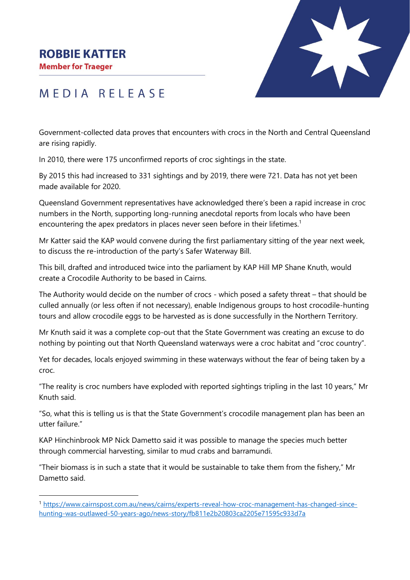#### **ROBBIE KATTER**

**Member for Traeger** 



### MEDIA RELEASE

Government-collected data proves that encounters with crocs in the North and Central Queensland are rising rapidly.

In 2010, there were 175 unconfirmed reports of croc sightings in the state.

By 2015 this had increased to 331 sightings and by 2019, there were 721. Data has not yet been made available for 2020.

Queensland Government representatives have acknowledged there's been a rapid increase in croc numbers in the North, supporting long-running anecdotal reports from locals who have been encountering the apex predators in places never seen before in their lifetimes.<sup>1</sup>

Mr Katter said the KAP would convene during the first parliamentary sitting of the year next week, to discuss the re-introduction of the party's Safer Waterway Bill.

This bill, drafted and introduced twice into the parliament by KAP Hill MP Shane Knuth, would create a Crocodile Authority to be based in Cairns.

The Authority would decide on the number of crocs - which posed a safety threat – that should be culled annually (or less often if not necessary), enable Indigenous groups to host crocodile-hunting tours and allow crocodile eggs to be harvested as is done successfully in the Northern Territory.

Mr Knuth said it was a complete cop-out that the State Government was creating an excuse to do nothing by pointing out that North Queensland waterways were a croc habitat and "croc country".

Yet for decades, locals enjoyed swimming in these waterways without the fear of being taken by a croc.

"The reality is croc numbers have exploded with reported sightings tripling in the last 10 years," Mr Knuth said.

"So, what this is telling us is that the State Government's crocodile management plan has been an utter failure."

KAP Hinchinbrook MP Nick Dametto said it was possible to manage the species much better through commercial harvesting, similar to mud crabs and barramundi.

"Their biomass is in such a state that it would be sustainable to take them from the fishery," Mr Dametto said.

<sup>1</sup> [https://www.cairnspost.com.au/news/cairns/experts-reveal-how-croc-management-has-changed-since](https://www.cairnspost.com.au/news/cairns/experts-reveal-how-croc-management-has-changed-since-hunting-was-outlawed-50-years-ago/news-story/fb811e2b20803ca2205e71595c933d7a)[hunting-was-outlawed-50-years-ago/news-story/fb811e2b20803ca2205e71595c933d7a](https://www.cairnspost.com.au/news/cairns/experts-reveal-how-croc-management-has-changed-since-hunting-was-outlawed-50-years-ago/news-story/fb811e2b20803ca2205e71595c933d7a)